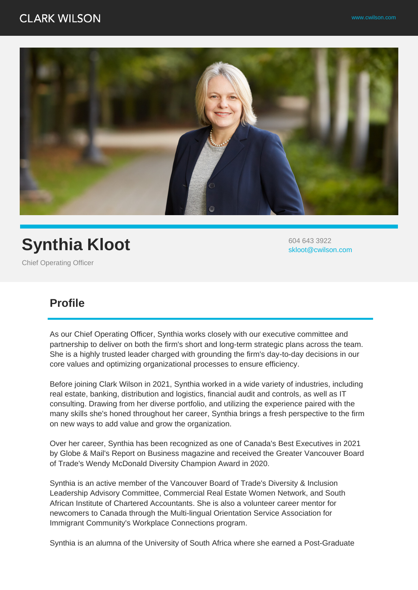

## **Synthia Kloot**

604 643 3922 skloot@cwilson.com

Chief Operating Officer

## **Profile**

As our Chief Operating Officer, Synthia works closely with our executive committee and partnership to deliver on both the firm's short and long-term strategic plans across the team. She is a highly trusted leader charged with grounding the firm's day-to-day decisions in our core values and optimizing organizational processes to ensure efficiency.

Before joining Clark Wilson in 2021, Synthia worked in a wide variety of industries, including real estate, banking, distribution and logistics, financial audit and controls, as well as IT consulting. Drawing from her diverse portfolio, and utilizing the experience paired with the many skills she's honed throughout her career, Synthia brings a fresh perspective to the firm on new ways to add value and grow the organization.

Over her career, Synthia has been recognized as one of Canada's Best Executives in 2021 by Globe & Mail's Report on Business magazine and received the Greater Vancouver Board of Trade's Wendy McDonald Diversity Champion Award in 2020.

Synthia is an active member of the Vancouver Board of Trade's Diversity & Inclusion Leadership Advisory Committee, Commercial Real Estate Women Network, and South African Institute of Chartered Accountants. She is also a volunteer career mentor for newcomers to Canada through the Multi-lingual Orientation Service Association for Immigrant Community's Workplace Connections program.

Synthia is an alumna of the University of South Africa where she earned a Post-Graduate